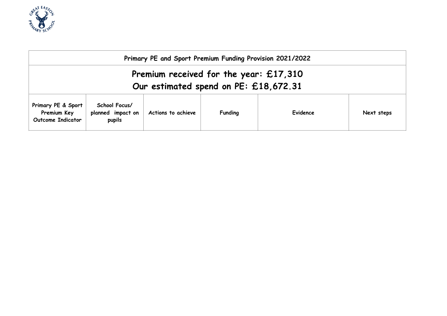

| Primary PE and Sport Premium Funding Provision 2021/2022                          |                                              |                    |                |          |            |  |
|-----------------------------------------------------------------------------------|----------------------------------------------|--------------------|----------------|----------|------------|--|
| Premium received for the year: $£17,310$<br>Our estimated spend on PE: £18,672.31 |                                              |                    |                |          |            |  |
| Primary PE & Sport<br>Premium Key<br><b>Outcome Indicator</b>                     | School Focus/<br>planned impact on<br>pupils | Actions to achieve | <b>Funding</b> | Evidence | Next steps |  |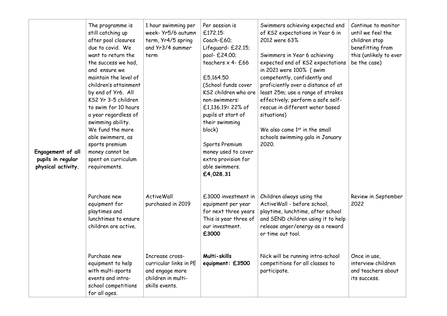| Engagement of all<br>pupils in regular<br>physical activity. | The programme is<br>still catching up<br>after pool closures<br>due to covid. We<br>want to return the<br>the success we had,<br>and ensure we<br>maintain the level of<br>children's attainment<br>by end of Yr6. All<br>KS2 Yr 3-5 children<br>to swim for 10 hours<br>a year regardless of<br>swimming ability.<br>We fund the more<br>able swimmers, as<br>sports premium<br>money cannot be<br>spent on curriculum<br>requirements. | 1 hour swimming per<br>week- Yr5/6 autumn<br>term, Yr4/5 spring<br>and Yr3/4 summer<br>term          | Per session is<br>£172.15:<br>Coach-£60;<br>Lifeguard- £22.15;<br>pool- £24.00;<br>teachers $x$ 4- £66<br>£5,164.50<br>(School funds cover<br>KS2 children who are<br>non-swimmers:<br>£1,136.19= 22% of<br>pupils at start of<br>their swimming<br>block)<br>Sports Premium<br>money used to cover<br>extra provision for<br>able swimmers.<br>£4,028.31 | Swimmers achieving expected end<br>of KS2 expectations in Year 6 in<br>2012 were 63%<br>Swimmers in Year 6 achieving<br>expected end of KS2 expectations<br>in 2021 were 100% (swim<br>competently, confidently and<br>proficiently over a distance of at<br>least 25m; use a range of strokes<br>effectively; perform a safe self-<br>rescue in different water based<br>situations)<br>We also came 1st in the small<br>schools swimming gala in January<br>2020. | Continue to monitor<br>until we feel the<br>children stop<br>benefitting from<br>this (unlikely to ever<br>be the case) |
|--------------------------------------------------------------|------------------------------------------------------------------------------------------------------------------------------------------------------------------------------------------------------------------------------------------------------------------------------------------------------------------------------------------------------------------------------------------------------------------------------------------|------------------------------------------------------------------------------------------------------|-----------------------------------------------------------------------------------------------------------------------------------------------------------------------------------------------------------------------------------------------------------------------------------------------------------------------------------------------------------|---------------------------------------------------------------------------------------------------------------------------------------------------------------------------------------------------------------------------------------------------------------------------------------------------------------------------------------------------------------------------------------------------------------------------------------------------------------------|-------------------------------------------------------------------------------------------------------------------------|
|                                                              | Purchase new<br>equipment for<br>playtimes and<br>lunchtimes to ensure<br>children are active.                                                                                                                                                                                                                                                                                                                                           | <b>ActiveWall</b><br>purchased in 2019                                                               | £3000 investment in<br>equipment per year<br>for next three years<br>This is year three of<br>our investment.<br>£3000                                                                                                                                                                                                                                    | Children always using the<br>ActiveWall - before school,<br>playtime, lunchtime, after school<br>and SEND children using it to help<br>release anger/energy as a reward<br>or time out tool.                                                                                                                                                                                                                                                                        | Review in September<br>2022                                                                                             |
|                                                              | Purchase new<br>equipment to help<br>with multi-sports<br>events and intra-<br>school competitions<br>for all ages.                                                                                                                                                                                                                                                                                                                      | Increase cross-<br>curricular links in PE<br>and engage more<br>children in multi-<br>skills events. | Multi-skills<br>equipment: £3500                                                                                                                                                                                                                                                                                                                          | Nick will be running intra-school<br>competitions for all classes to<br>participate.                                                                                                                                                                                                                                                                                                                                                                                | Once in use,<br>interview children<br>and teachers about<br>its success.                                                |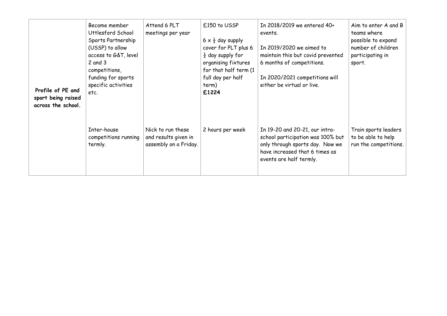| Profile of PE and<br>sport being raised<br>across the school. | Become member<br>Uttlesford School<br>Sports Partnership<br>(USSP) to allow<br>access to G&T, level<br>$2$ and $3$<br>competitions,<br>funding for sports<br>specific activities<br>etc. | Attend 6 PLT<br>meetings per year                                  | £150 to USSP<br>$6 \times \frac{1}{2}$ day supply<br>cover for PLT plus 6<br>$\frac{1}{2}$ day supply for<br>organising fixtures<br>for that half term (1<br>full day per half<br>term)<br>£1224 | In 2018/2019 we entered 40+<br>events.<br>In 2019/2020 we aimed to<br>maintain this but covid prevented<br>6 months of competitions.<br>In 2020/2021 competitions will<br>either be virtual or live. | Aim to enter A and B<br>teams where<br>possible to expand<br>number of children<br>participating in<br>sport. |
|---------------------------------------------------------------|------------------------------------------------------------------------------------------------------------------------------------------------------------------------------------------|--------------------------------------------------------------------|--------------------------------------------------------------------------------------------------------------------------------------------------------------------------------------------------|------------------------------------------------------------------------------------------------------------------------------------------------------------------------------------------------------|---------------------------------------------------------------------------------------------------------------|
|                                                               | Inter-house<br>competitions running<br>termly.                                                                                                                                           | Nick to run these<br>and results given in<br>assembly on a Friday. | 2 hours per week                                                                                                                                                                                 | In 19-20 and 20-21, our intra-<br>school participation was 100% but<br>only through sports day. Now we<br>have increased that 6 times as<br>events are half termly.                                  | Train sports leaders<br>to be able to help<br>run the competitions.                                           |